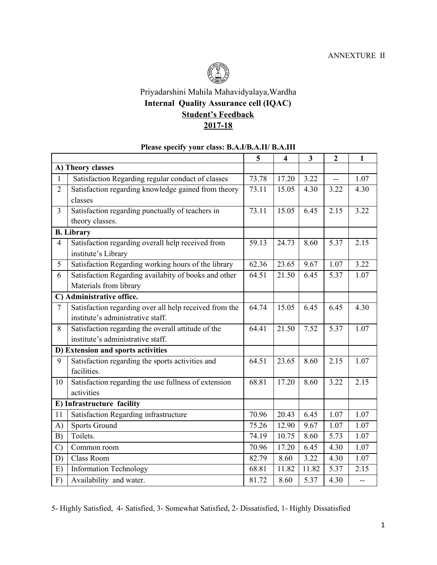

## Priyadarshini Mahila Mahavidyalaya,Wardha **Internal Quality Assurance cell (IQAC) Student's Feedback 2017-18**

## **Please specify your class: B.A.I/B.A.II/ B.A.III**

|                                    |                                                        | 5     | $\overline{\mathbf{4}}$ | $\mathbf{3}$ | $\mathbf{2}$             | $\mathbf{1}$   |
|------------------------------------|--------------------------------------------------------|-------|-------------------------|--------------|--------------------------|----------------|
| A) Theory classes                  |                                                        |       |                         |              |                          |                |
| $\mathbf{1}$                       | Satisfaction Regarding regular conduct of classes      | 73.78 | 17.20                   | 3.22         | $\overline{\phantom{a}}$ | 1.07           |
| $\overline{2}$                     | Satisfaction regarding knowledge gained from theory    | 73.11 | 15.05                   | 4.30         | 3.22                     | 4.30           |
|                                    | classes                                                |       |                         |              |                          |                |
| $\overline{3}$                     | Satisfaction regarding punctually of teachers in       | 73.11 | 15.05                   | 6.45         | 2.15                     | 3.22           |
|                                    | theory classes.                                        |       |                         |              |                          |                |
| <b>B.</b> Library                  |                                                        |       |                         |              |                          |                |
| $\overline{4}$                     | Satisfaction regarding overall help received from      | 59.13 | 24.73                   | 8.60         | 5.37                     | 2.15           |
|                                    | institute's Library                                    |       |                         |              |                          |                |
| 5                                  | Satisfaction Regarding working hours of the library    | 62.36 | 23.65                   | 9.67         | 1.07                     | 3.22           |
| 6                                  | Satisfaction Regarding availabity of books and other   | 64.51 | 21.50                   | 6.45         | 5.37                     | 1.07           |
|                                    | Materials from library                                 |       |                         |              |                          |                |
| C) Administrative office.          |                                                        |       |                         |              |                          |                |
| $\overline{7}$                     | Satisfaction regarding over all help received from the | 64.74 | 15.05                   | 6.45         | 6.45                     | 4.30           |
|                                    | institute's administrative staff.                      |       |                         |              |                          |                |
| 8                                  | Satisfaction regarding the overall attitude of the     | 64.41 | 21.50                   | 7.52         | 5.37                     | 1.07           |
|                                    | institute's administrative staff.                      |       |                         |              |                          |                |
| D) Extension and sports activities |                                                        |       |                         |              |                          |                |
| 9                                  | Satisfaction regarding the sports activities and       | 64.51 | 23.65                   | 8.60         | 2.15                     | 1.07           |
|                                    | facilities.                                            |       |                         |              |                          |                |
| 10                                 | Satisfaction regarding the use fullness of extension   | 68.81 | 17.20                   | 8.60         | 3.22                     | 2.15           |
|                                    | activities                                             |       |                         |              |                          |                |
| E) Infrastructure facility         |                                                        |       |                         |              |                          |                |
| 11                                 | Satisfaction Regarding infrastructure                  | 70.96 | 20.43                   | 6.45         | 1.07                     | 1.07           |
| A)                                 | <b>Sports Ground</b>                                   | 75.26 | 12.90                   | 9.67         | 1.07                     | 1.07           |
| B)                                 | Toilets.                                               | 74.19 | 10.75                   | 8.60         | 5.73                     | 1.07           |
| $\mathcal{C}$                      | Common room                                            | 70.96 | 17.20                   | 6.45         | 4.30                     | 1.07           |
| D)                                 | Class Room                                             | 82.79 | 8.60                    | 3.22         | 4.30                     | 1.07           |
| E)                                 | <b>Information Technology</b>                          | 68.81 | 11.82                   | 11.82        | 5.37                     | 2.15           |
| F)                                 | Availability and water.                                | 81.72 | 8.60                    | 5.37         | 4.30                     | $\overline{a}$ |

5- Highly Satisfied, 4- Satisfied, 3- Somewhat Satisfied, 2- Dissatisfied, 1- Highly Dissatisfied